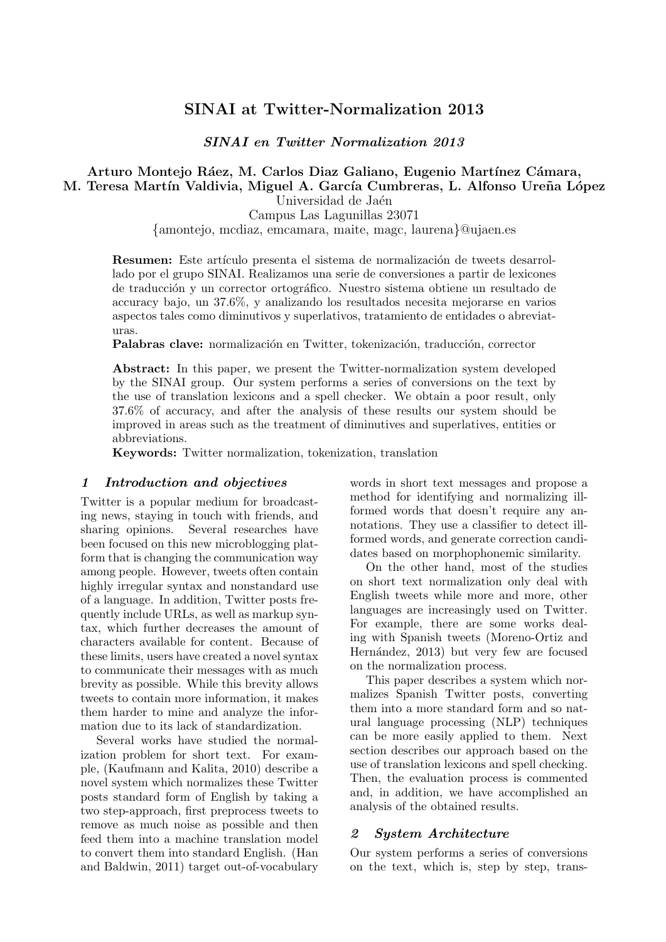# **SINAI at Twitter-Normalization 2013**

*SINAI en Twitter Normalization 2013*

#### **Arturo Montejo R´aez, M. Carlos Diaz Galiano, Eugenio Mart´ınez C´amara, M. Teresa Mart´ın Valdivia, Miguel A. Garc´ıa Cumbreras, L. Alfonso Ure˜na L´opez** Universidad de Jaén

Campus Las Lagunillas 23071

*{*amontejo, mcdiaz, emcamara, maite, magc, laurena*}*@ujaen.es

**Resumen:** Este artículo presenta el sistema de normalización de tweets desarrollado por el grupo SINAI. Realizamos una serie de conversiones a partir de lexicones de traducción y un corrector ortográfico. Nuestro sistema obtiene un resultado de accuracy bajo, un 37.6%, y analizando los resultados necesita mejorarse en varios aspectos tales como diminutivos y superlativos, tratamiento de entidades o abreviaturas.

Palabras clave: normalización en Twitter, tokenización, traducción, corrector

**Abstract:** In this paper, we present the Twitter-normalization system developed by the SINAI group. Our system performs a series of conversions on the text by the use of translation lexicons and a spell checker. We obtain a poor result, only 37.6% of accuracy, and after the analysis of these results our system should be improved in areas such as the treatment of diminutives and superlatives, entities or abbreviations.

**Keywords:** Twitter normalization, tokenization, translation

#### *1 Introduction and objectives*

Twitter is a popular medium for broadcasting news, staying in touch with friends, and sharing opinions. Several researches have been focused on this new microblogging platform that is changing the communication way among people. However, tweets often contain highly irregular syntax and nonstandard use of a language. In addition, Twitter posts frequently include URLs, as well as markup syntax, which further decreases the amount of characters available for content. Because of these limits, users have created a novel syntax to communicate their messages with as much brevity as possible. While this brevity allows tweets to contain more information, it makes them harder to mine and analyze the information due to its lack of standardization.

Several works have studied the normalization problem for short text. For example, (Kaufmann and Kalita, 2010) describe a novel system which normalizes these Twitter posts standard form of English by taking a two step-approach, first preprocess tweets to remove as much noise as possible and then feed them into a machine translation model to convert them into standard English. (Han and Baldwin, 2011) target out-of-vocabulary

words in short text messages and propose a method for identifying and normalizing illformed words that doesn't require any annotations. They use a classifier to detect illformed words, and generate correction candidates based on morphophonemic similarity.

On the other hand, most of the studies on short text normalization only deal with English tweets while more and more, other languages are increasingly used on Twitter. For example, there are some works dealing with Spanish tweets (Moreno-Ortiz and Hernández, 2013) but very few are focused on the normalization process.

This paper describes a system which normalizes Spanish Twitter posts, converting them into a more standard form and so natural language processing (NLP) techniques can be more easily applied to them. Next section describes our approach based on the use of translation lexicons and spell checking. Then, the evaluation process is commented and, in addition, we have accomplished an analysis of the obtained results.

#### *2 System Architecture*

Our system performs a series of conversions on the text, which is, step by step, trans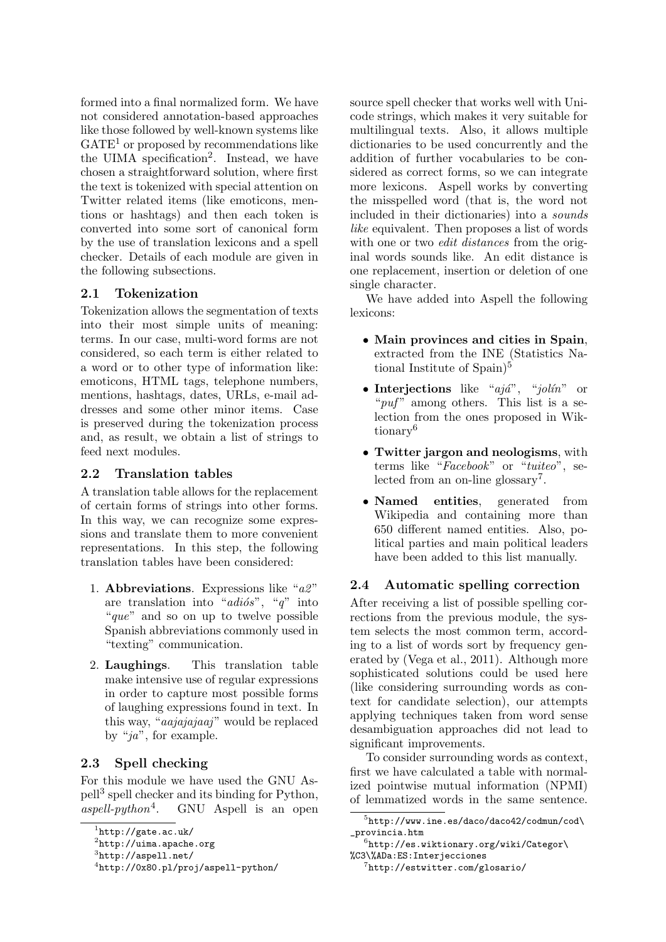formed into a final normalized form. We have not considered annotation-based approaches like those followed by well-known systems like  $GATE<sup>1</sup>$  or proposed by recommendations like the UIMA specification<sup>2</sup>. Instead, we have chosen a straightforward solution, where first the text is tokenized with special attention on Twitter related items (like emoticons, mentions or hashtags) and then each token is converted into some sort of canonical form by the use of translation lexicons and a spell checker. Details of each module are given in the following subsections.

#### **2.1 Tokenization**

Tokenization allows the segmentation of texts into their most simple units of meaning: terms. In our case, multi-word forms are not considered, so each term is either related to a word or to other type of information like: emoticons, HTML tags, telephone numbers, mentions, hashtags, dates, URLs, e-mail addresses and some other minor items. Case is preserved during the tokenization process and, as result, we obtain a list of strings to feed next modules.

#### **2.2 Translation tables**

A translation table allows for the replacement of certain forms of strings into other forms. In this way, we can recognize some expressions and translate them to more convenient representations. In this step, the following translation tables have been considered:

- 1. **Abbreviations**. Expressions like "*a2* " are translation into "*adiós*", "*q*" into "*que*" and so on up to twelve possible Spanish abbreviations commonly used in "texting" communication.
- 2. **Laughings**. This translation table make intensive use of regular expressions in order to capture most possible forms of laughing expressions found in text. In this way, "*aajajajaaj* " would be replaced by "*ja*", for example.

## **2.3 Spell checking**

For this module we have used the GNU Aspell<sup>3</sup> spell checker and its binding for Python,  $aspell-python<sup>4</sup>$ . . GNU Aspell is an open source spell checker that works well with Unicode strings, which makes it very suitable for multilingual texts. Also, it allows multiple dictionaries to be used concurrently and the addition of further vocabularies to be considered as correct forms, so we can integrate more lexicons. Aspell works by converting the misspelled word (that is, the word not included in their dictionaries) into a *sounds like* equivalent. Then proposes a list of words with one or two *edit distances* from the original words sounds like. An edit distance is one replacement, insertion or deletion of one single character.

We have added into Aspell the following lexicons:

- *•* **Main provinces and cities in Spain**, extracted from the INE (Statistics National Institute of  $\text{Span}$ <sup>5</sup>
- Interjections like "*ajá*", "*jolín*" or "*puf*" among others. This list is a selection from the ones proposed in Wiktionary<sup>6</sup>
- *•* **Twitter jargon and neologisms**, with terms like "*Facebook*" or "*tuiteo*", selected from an on-line glossary<sup>7</sup>.
- *•* **Named entities**, generated from Wikipedia and containing more than 650 different named entities. Also, political parties and main political leaders have been added to this list manually.

#### **2.4 Automatic spelling correction**

After receiving a list of possible spelling corrections from the previous module, the system selects the most common term, according to a list of words sort by frequency generated by (Vega et al., 2011). Although more sophisticated solutions could be used here (like considering surrounding words as context for candidate selection), our attempts applying techniques taken from word sense desambiguation approaches did not lead to significant improvements.

To consider surrounding words as context, first we have calculated a table with normalized pointwise mutual information (NPMI) of lemmatized words in the same sentence.

 $^1$ http://gate.ac.uk/

 $^{2}$ http://uima.apache.org

 ${}^{3}$ http://aspell.net/

<sup>4</sup> http://0x80.pl/proj/aspell-python/

 $5$ http://www.ine.es/daco/daco42/codmun/cod\ \_provincia.htm

 $^6$ http://es.wiktionary.org/wiki/Categor\ %C3\%ADa:ES:Interjecciones

<sup>7</sup> http://estwitter.com/glosario/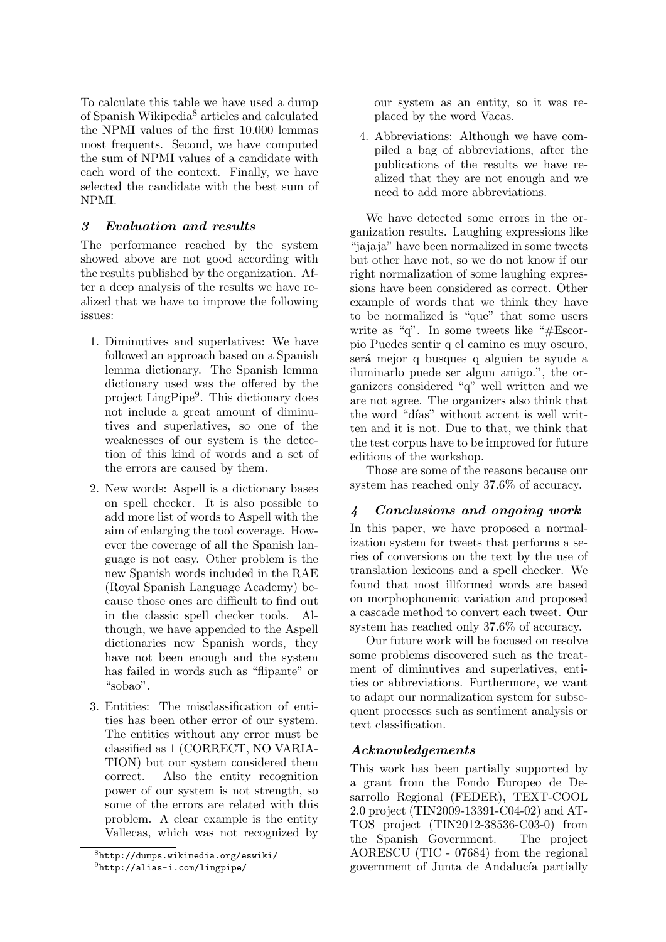To calculate this table we have used a dump of Spanish Wikipedia<sup>8</sup> articles and calculated the NPMI values of the first 10.000 lemmas most frequents. Second, we have computed the sum of NPMI values of a candidate with each word of the context. Finally, we have selected the candidate with the best sum of NPMI.

## *3 Evaluation and results*

The performance reached by the system showed above are not good according with the results published by the organization. After a deep analysis of the results we have realized that we have to improve the following issues:

- 1. Diminutives and superlatives: We have followed an approach based on a Spanish lemma dictionary. The Spanish lemma dictionary used was the offered by the project LingPipe<sup>9</sup>. This dictionary does not include a great amount of diminutives and superlatives, so one of the weaknesses of our system is the detection of this kind of words and a set of the errors are caused by them.
- 2. New words: Aspell is a dictionary bases on spell checker. It is also possible to add more list of words to Aspell with the aim of enlarging the tool coverage. However the coverage of all the Spanish language is not easy. Other problem is the new Spanish words included in the RAE (Royal Spanish Language Academy) because those ones are difficult to find out in the classic spell checker tools. Although, we have appended to the Aspell dictionaries new Spanish words, they have not been enough and the system has failed in words such as "flipante" or "sobao".
- 3. Entities: The misclassification of entities has been other error of our system. The entities without any error must be classified as 1 (CORRECT, NO VARIA-TION) but our system considered them correct. Also the entity recognition power of our system is not strength, so some of the errors are related with this problem. A clear example is the entity Vallecas, which was not recognized by

our system as an entity, so it was replaced by the word Vacas.

4. Abbreviations: Although we have compiled a bag of abbreviations, after the publications of the results we have realized that they are not enough and we need to add more abbreviations.

We have detected some errors in the organization results. Laughing expressions like "jajaja" have been normalized in some tweets but other have not, so we do not know if our right normalization of some laughing expressions have been considered as correct. Other example of words that we think they have to be normalized is "que" that some users write as "q". In some tweets like "#Escorpio Puedes sentir q el camino es muy oscuro, será mejor q busques q alguien te ayude a iluminarlo puede ser algun amigo.", the organizers considered "q" well written and we are not agree. The organizers also think that the word "días" without accent is well written and it is not. Due to that, we think that the test corpus have to be improved for future editions of the workshop.

Those are some of the reasons because our system has reached only 37.6% of accuracy.

## *4 Conclusions and ongoing work*

In this paper, we have proposed a normalization system for tweets that performs a series of conversions on the text by the use of translation lexicons and a spell checker. We found that most illformed words are based on morphophonemic variation and proposed a cascade method to convert each tweet. Our system has reached only 37.6% of accuracy.

Our future work will be focused on resolve some problems discovered such as the treatment of diminutives and superlatives, entities or abbreviations. Furthermore, we want to adapt our normalization system for subsequent processes such as sentiment analysis or text classification.

## *Acknowledgements*

This work has been partially supported by a grant from the Fondo Europeo de Desarrollo Regional (FEDER), TEXT-COOL 2.0 project (TIN2009-13391-C04-02) and AT-TOS project (TIN2012-38536-C03-0) from the Spanish Government. The project AORESCU (TIC - 07684) from the regional government of Junta de Andalucía partially

<sup>8</sup> http://dumps.wikimedia.org/eswiki/ 9 http://alias-i.com/lingpipe/